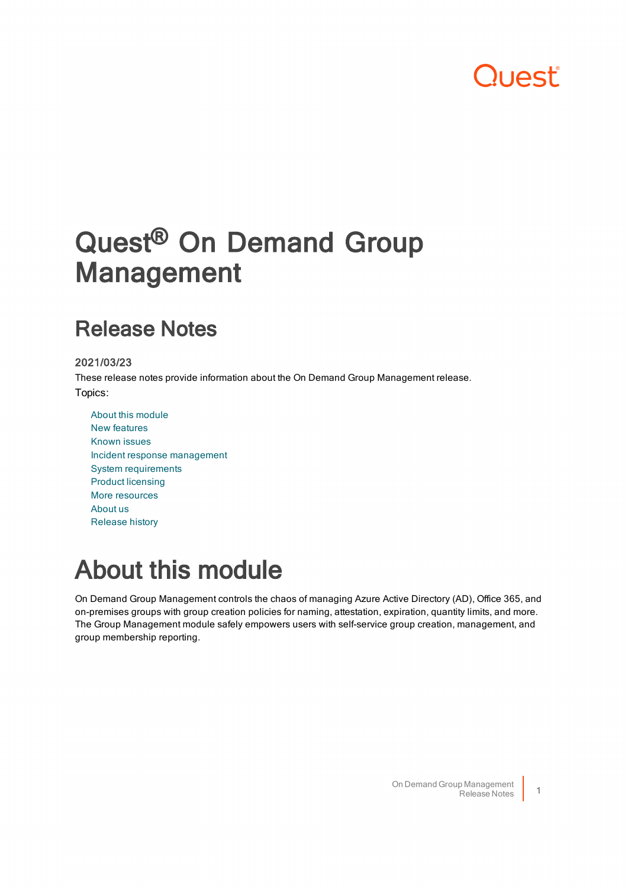# **DUAST**

# Quest<sup>®</sup> On Demand Group Management

## Release Notes

### 2021/03/23

These release notes provide information about the On Demand Group Management release. Topics:

About this [module](#page-0-0) New [features](#page-1-0) [Known](#page-1-1) issues Incident response [management](#page-1-2) System [requirements](#page-1-3) Product [licensing](#page-2-0) More [resources](#page-4-0) [About](#page-4-1) us [Release](#page-10-0) history

# <span id="page-0-0"></span>About this module

On Demand Group Management controls the chaos of managing Azure Active Directory (AD), Office 365, and on-premises groups with group creation policies for naming, attestation, expiration, quantity limits, and more. The Group Management module safely empowers users with self-service group creation, management, and group membership reporting.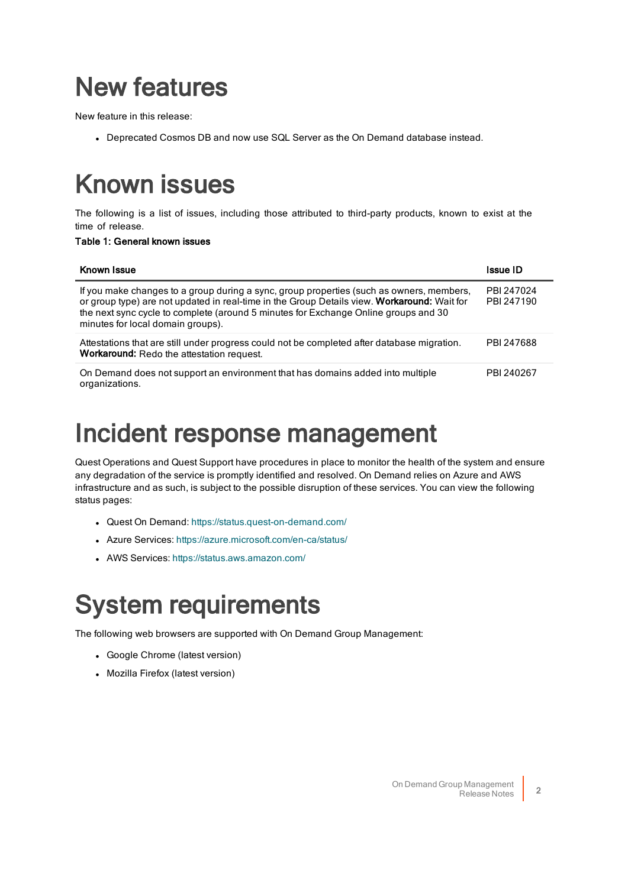# <span id="page-1-0"></span>New features

New feature in this release:

<span id="page-1-1"></span>• Deprecated Cosmos DB and now use SQL Server as the On Demand database instead.

# Known issues

The following is a list of issues, including those attributed to third-party products, known to exist at the time of release.

#### Table 1: General known issues

| Known Issue                                                                                                                                                                                                                                                                                                         | Issue ID                 |
|---------------------------------------------------------------------------------------------------------------------------------------------------------------------------------------------------------------------------------------------------------------------------------------------------------------------|--------------------------|
| If you make changes to a group during a sync, group properties (such as owners, members,<br>or group type) are not updated in real-time in the Group Details view. Workaround: Wait for<br>the next sync cycle to complete (around 5 minutes for Exchange Online groups and 30<br>minutes for local domain groups). | PBI 247024<br>PBI 247190 |
| Attestations that are still under progress could not be completed after database migration.<br>Workaround: Redo the attestation request.                                                                                                                                                                            | PBI 247688               |
| On Demand does not support an environment that has domains added into multiple<br>organizations.                                                                                                                                                                                                                    | PBI 240267               |

# <span id="page-1-2"></span>Incident response management

Quest Operations and Quest Support have procedures in place to monitor the health of the system and ensure any degradation of the service is promptly identified and resolved. On Demand relies on Azure and AWS infrastructure and as such, is subject to the possible disruption of these services. You can view the following status pages:

- Quest On Demand: <https://status.quest-on-demand.com/>
- Azure Services: <https://azure.microsoft.com/en-ca/status/>
- <span id="page-1-3"></span>• AWS Services: <https://status.aws.amazon.com/>

# System requirements

The following web browsers are supported with On Demand Group Management:

- Google Chrome (latest version)
- Mozilla Firefox (latest version)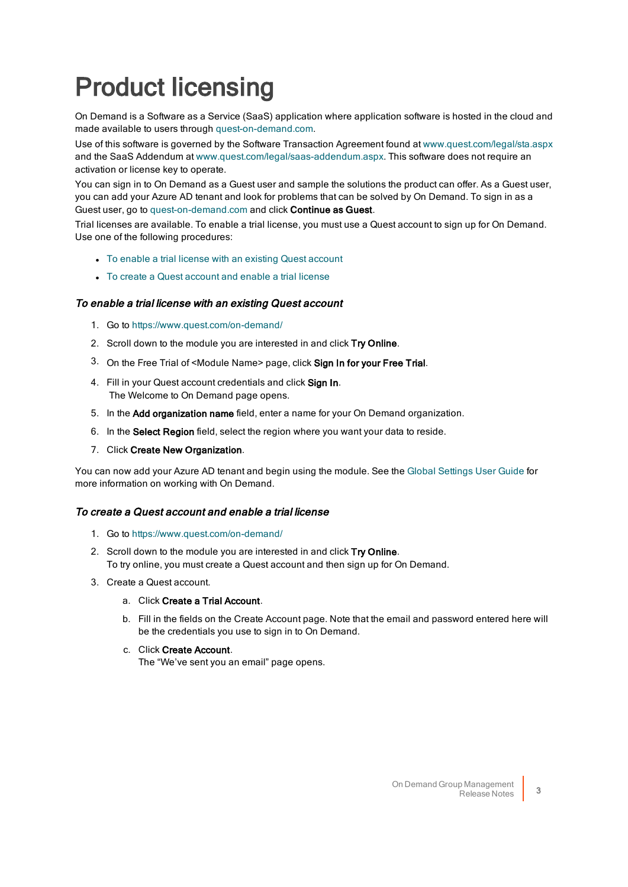# <span id="page-2-0"></span>Product licensing

On Demand is a Software as a Service (SaaS) application where application software is hosted in the cloud and made available to users through [quest-on-demand.com](http://quest-on-demand.com/).

Use of this software is governed by the Software Transaction Agreement found at [www.quest.com/legal/sta.aspx](https://www.quest.com/legal/sta.aspx) and the SaaS Addendum at [www.quest.com/legal/saas-addendum.aspx.](https://www.quest.com/legal/saas-addendum.aspx) This software does not require an activation or license key to operate.

You can sign in to On Demand as a Guest user and sample the solutions the product can offer. As a Guest user, you can add your Azure AD tenant and look for problems that can be solved by On Demand. To sign in as a Guest user, go to [quest-on-demand.com](http://quest-on-demand.com/) and click Continue as Guest.

Trial licenses are available. To enable a trial license, you must use a Quest account to sign up for On Demand. Use one of the following procedures:

- To enable a trial license with an existing Quest [account](#page-2-1)
- To create a Quest [account](#page-2-2) and enable a trial license

#### <span id="page-2-1"></span>To enable a trial license with an existing Quest account

- 1. Go to <https://www.quest.com/on-demand/>
- 2. Scroll down to the module you are interested in and click Try Online.
- 3. On the Free Trial of <Module Name> page, click Sign In for your Free Trial.
- 4. Fill in your Quest account credentials and click Sign In. The Welcome to On Demand page opens.
- 5. In the Add organization name field, enter a name for your On Demand organization.
- 6. In the Select Region field, select the region where you want your data to reside.
- 7. Click Create New Organization.

You can now add your Azure AD tenant and begin using the module. See the Global [Settings](https://support.quest.com/technical-documents/on-demand-global-settings/current/user-guide) User Guide for more information on working with On Demand.

### <span id="page-2-2"></span>To create a Quest account and enable a trial license

- 1. Go to <https://www.quest.com/on-demand/>
- 2. Scroll down to the module you are interested in and click Try Online. To try online, you must create a Quest account and then sign up for On Demand.
- 3. Create a Quest account.
	- a. Click Create a Trial Account.
	- b. Fill in the fields on the Create Account page. Note that the email and password entered here will be the credentials you use to sign in to On Demand.
	- c. Click Create Account.

The "We've sent you an email" page opens.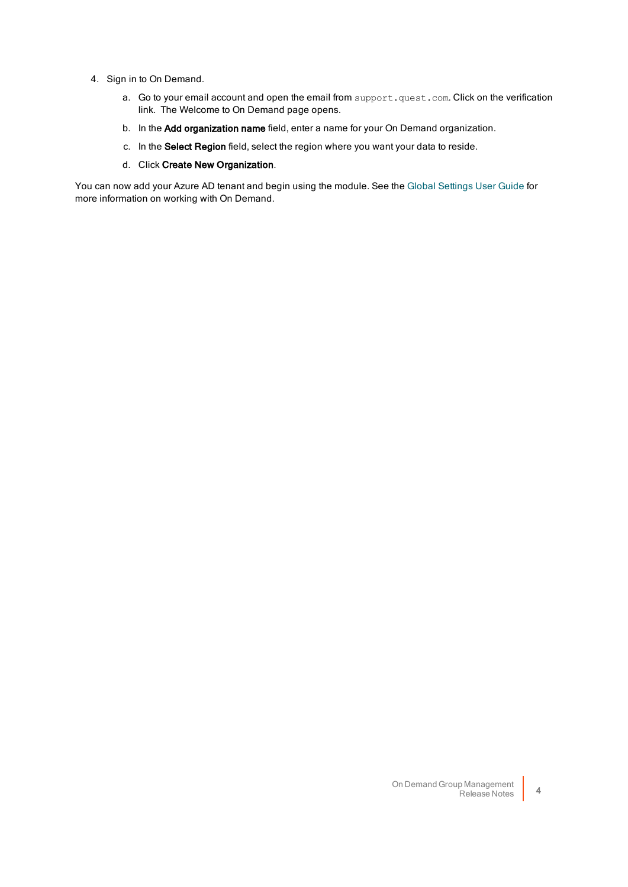- 4. Sign in to On Demand.
	- a. Go to your email account and open the email from support.quest.com. Click on the verification link. The Welcome to On Demand page opens.
	- b. In the Add organization name field, enter a name for your On Demand organization.
	- c. In the Select Region field, select the region where you want your data to reside.
	- d. Click Create New Organization.

You can now add your Azure AD tenant and begin using the module. See the Global [Settings](https://support.quest.com/technical-documents/on-demand-global-settings/current/user-guide) User Guide for more information on working with On Demand.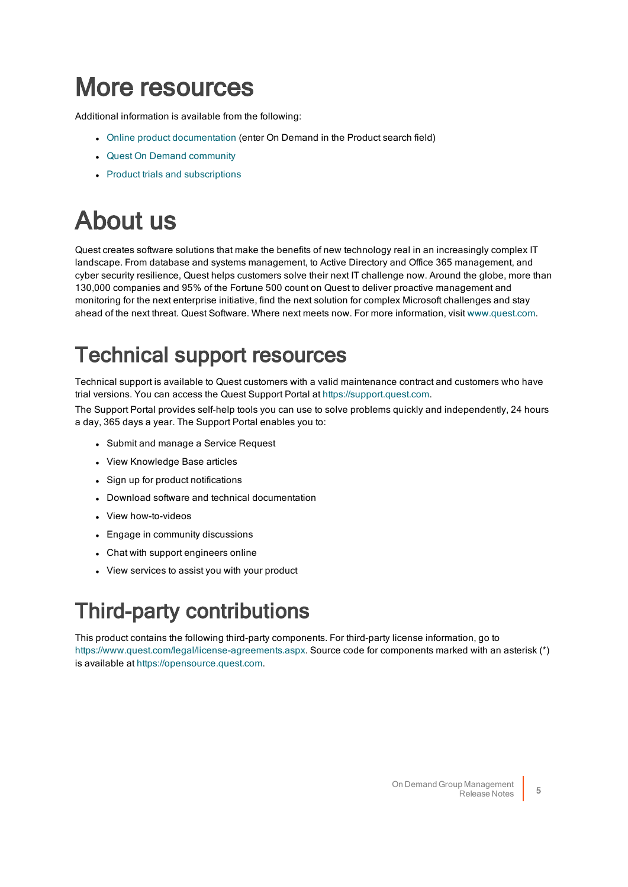# <span id="page-4-0"></span>More resources

Additional information is available from the following:

- Online product [documentation](https://support.quest.com/technical-documents) (enter On Demand in the Product search field)
- Quest On Demand [community](https://www.quest.com/community/products/on-demand#)
- <span id="page-4-1"></span>• Product trials and [subscriptions](https://www.quest.com/on-demand/)

# About us

Quest creates software solutions that make the benefits of new technology real in an increasingly complex IT landscape. From database and systems management, to Active Directory and Office 365 management, and cyber security resilience, Quest helps customers solve their next IT challenge now. Around the globe, more than 130,000 companies and 95% of the Fortune 500 count on Quest to deliver proactive management and monitoring for the next enterprise initiative, find the next solution for complex Microsoft challenges and stay ahead of the next threat. Quest Software. Where next meets now. For more information, visit [www.quest.com.](https://www.quest.com/)

# Technical support resources

Technical support is available to Quest customers with a valid maintenance contract and customers who have trial versions. You can access the Quest Support Portal at [https://support.quest.com](https://support.quest.com/).

The Support Portal provides self-help tools you can use to solve problems quickly and independently, 24 hours a day, 365 days a year. The Support Portal enables you to:

- Submit and manage a Service Request
- View Knowledge Base articles
- Sign up for product notifications
- Download software and technical documentation
- View how-to-videos
- Engage in community discussions
- Chat with support engineers online
- View services to assist you with your product

# Third-party contributions

This product contains the following third-party components. For third-party license information, go to [https://www.quest.com/legal/license-agreements.aspx.](https://www.quest.com/legal/license-agreements.aspx) Source code for components marked with an asterisk (\*) is available at [https://opensource.quest.com](https://opensource.quest.com/).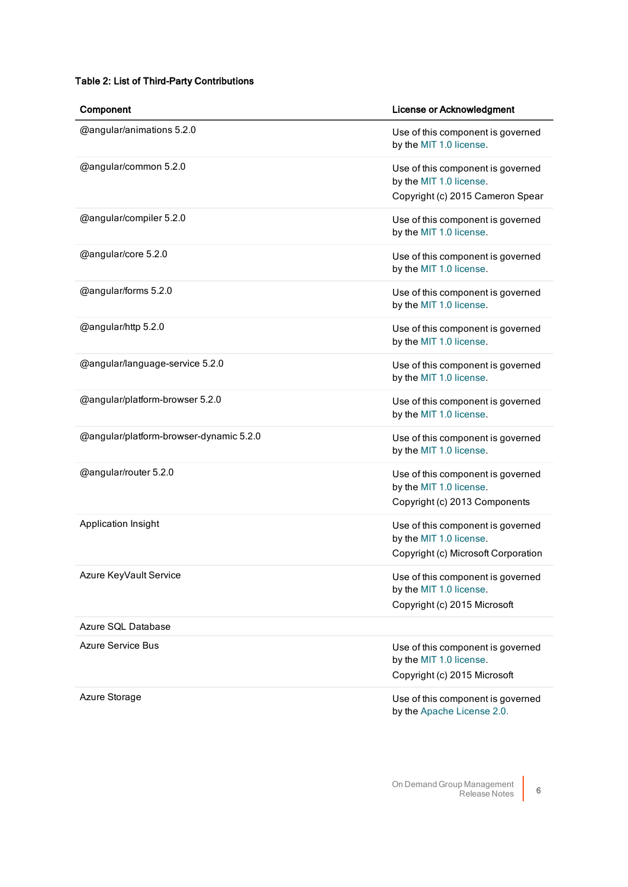### Table 2: List of Third-Party Contributions

| Component                               | <b>License or Acknowledgment</b>                                                                    |
|-----------------------------------------|-----------------------------------------------------------------------------------------------------|
| @angular/animations 5.2.0               | Use of this component is governed<br>by the MIT 1.0 license.                                        |
| @angular/common 5.2.0                   | Use of this component is governed<br>by the MIT 1.0 license.<br>Copyright (c) 2015 Cameron Spear    |
| @angular/compiler 5.2.0                 | Use of this component is governed<br>by the MIT 1.0 license.                                        |
| @angular/core 5.2.0                     | Use of this component is governed<br>by the MIT 1.0 license.                                        |
| @angular/forms 5.2.0                    | Use of this component is governed<br>by the MIT 1.0 license.                                        |
| @angular/http 5.2.0                     | Use of this component is governed<br>by the MIT 1.0 license.                                        |
| @angular/language-service 5.2.0         | Use of this component is governed<br>by the MIT 1.0 license.                                        |
| @angular/platform-browser 5.2.0         | Use of this component is governed<br>by the MIT 1.0 license.                                        |
| @angular/platform-browser-dynamic 5.2.0 | Use of this component is governed<br>by the MIT 1.0 license.                                        |
| @angular/router 5.2.0                   | Use of this component is governed<br>by the MIT 1.0 license.<br>Copyright (c) 2013 Components       |
| Application Insight                     | Use of this component is governed<br>by the MIT 1.0 license.<br>Copyright (c) Microsoft Corporation |
| Azure KeyVault Service                  | Use of this component is governed<br>by the MIT 1.0 license.<br>Copyright (c) 2015 Microsoft        |
| Azure SQL Database                      |                                                                                                     |
| Azure Service Bus                       | Use of this component is governed<br>by the MIT 1.0 license.<br>Copyright (c) 2015 Microsoft        |
| Azure Storage                           | Use of this component is governed<br>by the Apache License 2.0.                                     |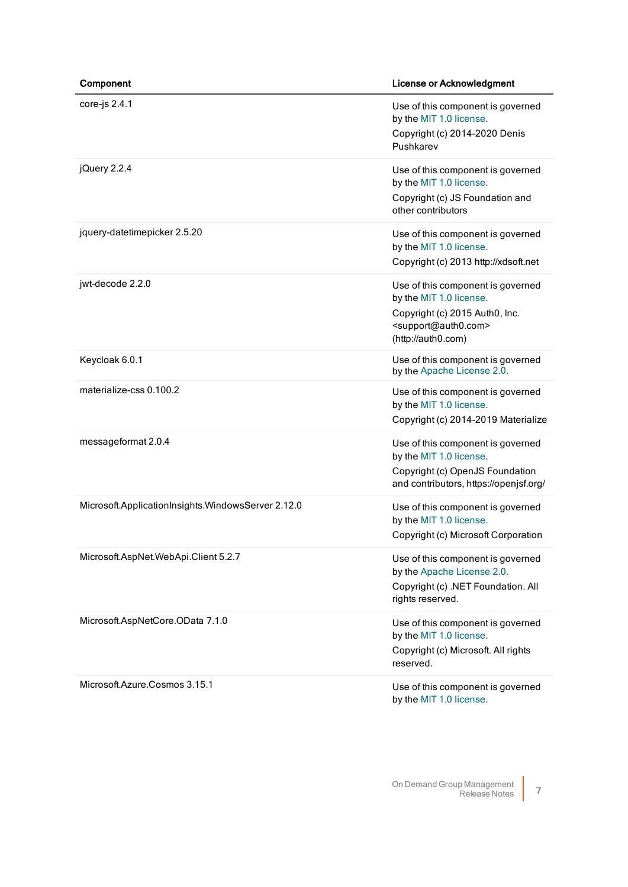| Component                                          | <b>License or Acknowledgment</b>                                                                                                                                 |
|----------------------------------------------------|------------------------------------------------------------------------------------------------------------------------------------------------------------------|
| core-js $2.4.1$                                    | Use of this component is governed<br>by the MIT 1.0 license.<br>Copyright (c) 2014-2020 Denis<br>Pushkarev                                                       |
| jQuery 2.2.4                                       | Use of this component is governed<br>by the MIT 1.0 license.<br>Copyright (c) JS Foundation and<br>other contributors                                            |
| jquery-datetimepicker 2.5.20                       | Use of this component is governed<br>by the MIT 1.0 license.<br>Copyright (c) 2013 http://xdsoft.net                                                             |
| jwt-decode 2.2.0                                   | Use of this component is governed<br>by the MIT 1.0 license.<br>Copyright (c) 2015 Auth0, Inc.<br><support@auth0.com><br/>(http://auth0.com)</support@auth0.com> |
| Keycloak 6.0.1                                     | Use of this component is governed<br>by the Apache License 2.0.                                                                                                  |
| materialize-css 0.100.2                            | Use of this component is governed<br>by the MIT 1.0 license.<br>Copyright (c) 2014-2019 Materialize                                                              |
| messageformat 2.0.4                                | Use of this component is governed<br>by the MIT 1.0 license.<br>Copyright (c) OpenJS Foundation<br>and contributors, https://openjsf.org/                        |
| Microsoft.ApplicationInsights.WindowsServer 2.12.0 | Use of this component is governed<br>by the MIT 1.0 license.<br>Copyright (c) Microsoft Corporation                                                              |
| Microsoft.AspNet.WebApi.Client 5.2.7               | Use of this component is governed<br>by the Apache License 2.0.<br>Copyright (c) .NET Foundation. All<br>rights reserved.                                        |
| Microsoft.AspNetCore.OData 7.1.0                   | Use of this component is governed<br>by the MIT 1.0 license.<br>Copyright (c) Microsoft. All rights<br>reserved.                                                 |
| Microsoft.Azure.Cosmos 3.15.1                      | Use of this component is governed<br>by the MIT 1.0 license.                                                                                                     |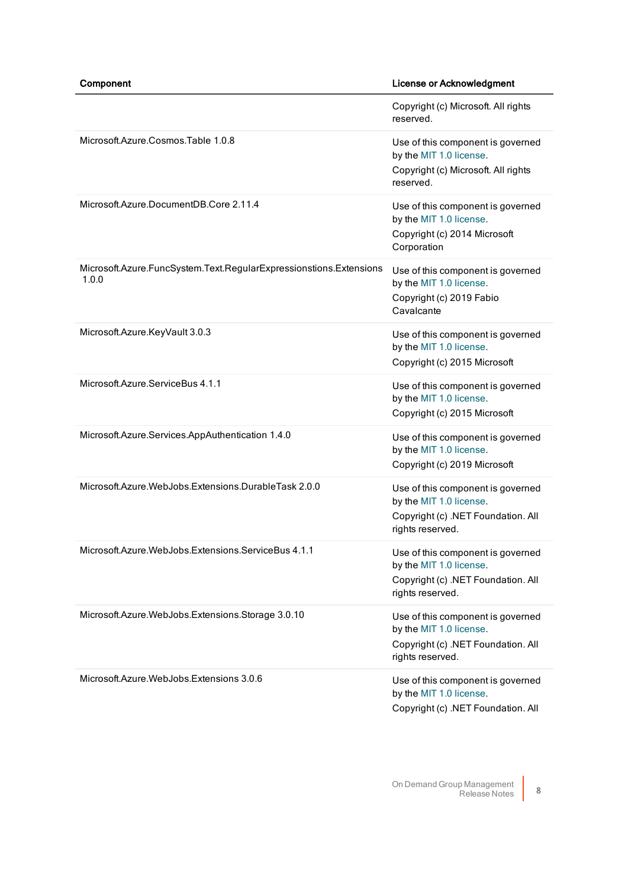|                                                                             | Copyright (c) Microsoft. All rights<br>reserved.                                                                       |
|-----------------------------------------------------------------------------|------------------------------------------------------------------------------------------------------------------------|
| Microsoft.Azure.Cosmos.Table 1.0.8                                          | Use of this component is governed<br>by the MIT 1.0 license.<br>Copyright (c) Microsoft. All rights<br>reserved.       |
| Microsoft.Azure.DocumentDB.Core 2.11.4                                      | Use of this component is governed<br>by the MIT 1.0 license.<br>Copyright (c) 2014 Microsoft<br>Corporation            |
| Microsoft.Azure.FuncSystem.Text.RegularExpressionstions.Extensions<br>1.0.0 | Use of this component is governed<br>by the MIT 1.0 license.<br>Copyright (c) 2019 Fabio<br>Cavalcante                 |
| Microsoft.Azure.KeyVault 3.0.3                                              | Use of this component is governed<br>by the MIT 1.0 license.<br>Copyright (c) 2015 Microsoft                           |
| Microsoft.Azure.ServiceBus 4.1.1                                            | Use of this component is governed<br>by the MIT 1.0 license.<br>Copyright (c) 2015 Microsoft                           |
| Microsoft.Azure.Services.AppAuthentication 1.4.0                            | Use of this component is governed<br>by the MIT 1.0 license.<br>Copyright (c) 2019 Microsoft                           |
| Microsoft.Azure.WebJobs.Extensions.DurableTask 2.0.0                        | Use of this component is governed<br>by the MIT 1.0 license.<br>Copyright (c) .NET Foundation. All<br>rights reserved. |
| Microsoft.Azure.WebJobs.Extensions.ServiceBus 4.1.1                         | Use of this component is governed<br>by the MIT 1.0 license.<br>Copyright (c) .NET Foundation. All<br>rights reserved. |
| Microsoft.Azure.WebJobs.Extensions.Storage 3.0.10                           | Use of this component is governed<br>by the MIT 1.0 license.<br>Copyright (c) .NET Foundation. All<br>rights reserved. |
| Microsoft.Azure.WebJobs.Extensions 3.0.6                                    | Use of this component is governed<br>by the MIT 1.0 license.<br>Copyright (c) .NET Foundation. All                     |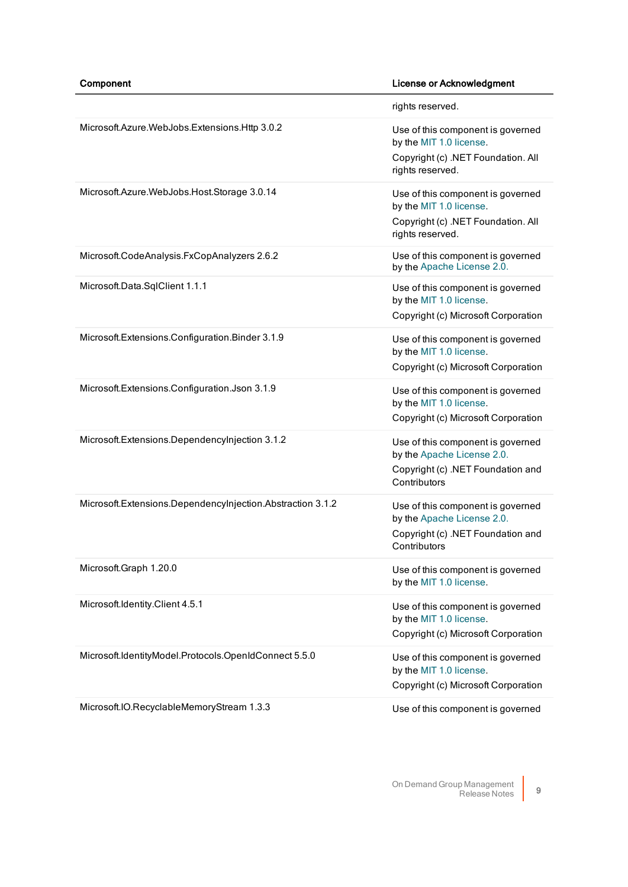|                                                            | rights reserved.                                                                                                       |
|------------------------------------------------------------|------------------------------------------------------------------------------------------------------------------------|
| Microsoft.Azure.WebJobs.Extensions.Http 3.0.2              | Use of this component is governed<br>by the MIT 1.0 license.<br>Copyright (c) .NET Foundation. All<br>rights reserved. |
| Microsoft.Azure.WebJobs.Host.Storage 3.0.14                | Use of this component is governed<br>by the MIT 1.0 license.<br>Copyright (c) .NET Foundation. All<br>rights reserved. |
| Microsoft.CodeAnalysis.FxCopAnalyzers 2.6.2                | Use of this component is governed<br>by the Apache License 2.0.                                                        |
| Microsoft.Data.SqlClient 1.1.1                             | Use of this component is governed<br>by the MIT 1.0 license.<br>Copyright (c) Microsoft Corporation                    |
| Microsoft.Extensions.Configuration.Binder 3.1.9            | Use of this component is governed<br>by the MIT 1.0 license.<br>Copyright (c) Microsoft Corporation                    |
| Microsoft.Extensions.Configuration.Json 3.1.9              | Use of this component is governed<br>by the MIT 1.0 license.<br>Copyright (c) Microsoft Corporation                    |
| Microsoft.Extensions.Dependencylnjection 3.1.2             | Use of this component is governed<br>by the Apache License 2.0.<br>Copyright (c) .NET Foundation and<br>Contributors   |
| Microsoft.Extensions.Dependencylnjection.Abstraction 3.1.2 | Use of this component is governed<br>by the Apache License 2.0.<br>Copyright (c) .NET Foundation and<br>Contributors   |
| Microsoft.Graph 1.20.0                                     | Use of this component is governed<br>by the MIT 1.0 license.                                                           |
| Microsoft.Identity.Client 4.5.1                            | Use of this component is governed<br>by the MIT 1.0 license.<br>Copyright (c) Microsoft Corporation                    |
| Microsoft.IdentityModel.Protocols.OpenIdConnect 5.5.0      | Use of this component is governed<br>by the MIT 1.0 license.<br>Copyright (c) Microsoft Corporation                    |
| Microsoft.IO.RecyclableMemoryStream 1.3.3                  | Use of this component is governed                                                                                      |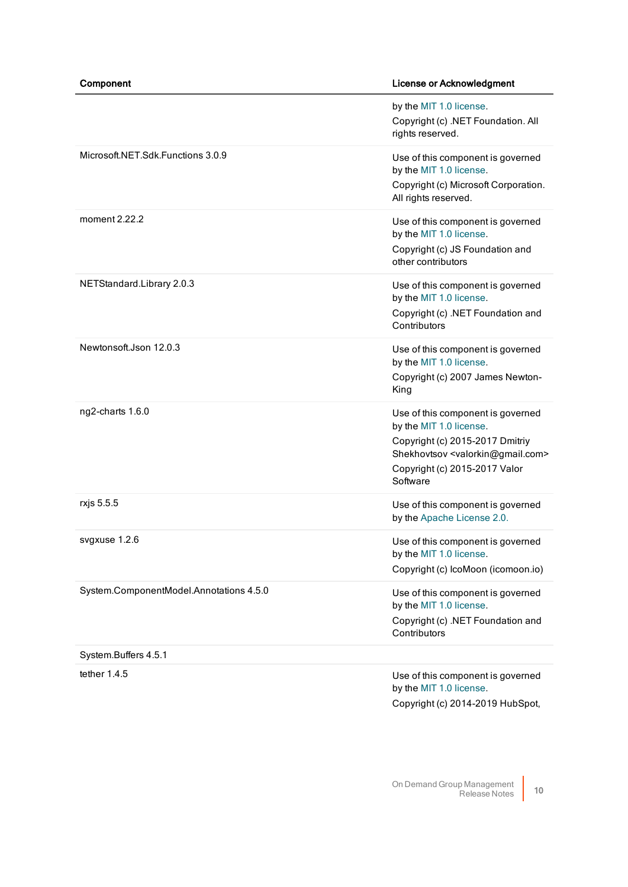|                                         | by the MIT 1.0 license.<br>Copyright (c) .NET Foundation. All<br>rights reserved.                                                                                                                       |
|-----------------------------------------|---------------------------------------------------------------------------------------------------------------------------------------------------------------------------------------------------------|
| Microsoft.NET.Sdk.Functions 3.0.9       | Use of this component is governed<br>by the MIT 1.0 license.<br>Copyright (c) Microsoft Corporation.<br>All rights reserved.                                                                            |
| moment 2.22.2                           | Use of this component is governed<br>by the MIT 1.0 license.<br>Copyright (c) JS Foundation and<br>other contributors                                                                                   |
| NETStandard.Library 2.0.3               | Use of this component is governed<br>by the MIT 1.0 license.<br>Copyright (c) .NET Foundation and<br>Contributors                                                                                       |
| Newtonsoft.Json 12.0.3                  | Use of this component is governed<br>by the MIT 1.0 license.<br>Copyright (c) 2007 James Newton-<br>King                                                                                                |
| ng2-charts 1.6.0                        | Use of this component is governed<br>by the MIT 1.0 license.<br>Copyright (c) 2015-2017 Dmitriy<br>Shekhovtsov <valorkin@gmail.com><br/>Copyright (c) 2015-2017 Valor<br/>Software</valorkin@gmail.com> |
| rxjs 5.5.5                              | Use of this component is governed<br>by the Apache License 2.0.                                                                                                                                         |
| svgxuse 1.2.6                           | Use of this component is governed<br>by the MIT 1.0 license.<br>Copyright (c) IcoMoon (icomoon.io)                                                                                                      |
| System.ComponentModel.Annotations 4.5.0 | Use of this component is governed<br>by the MIT 1.0 license.<br>Copyright (c) .NET Foundation and<br>Contributors                                                                                       |
| System.Buffers 4.5.1                    |                                                                                                                                                                                                         |
| tether $1.4.5$                          | Use of this component is governed<br>by the MIT 1.0 license.<br>Copyright (c) 2014-2019 HubSpot,                                                                                                        |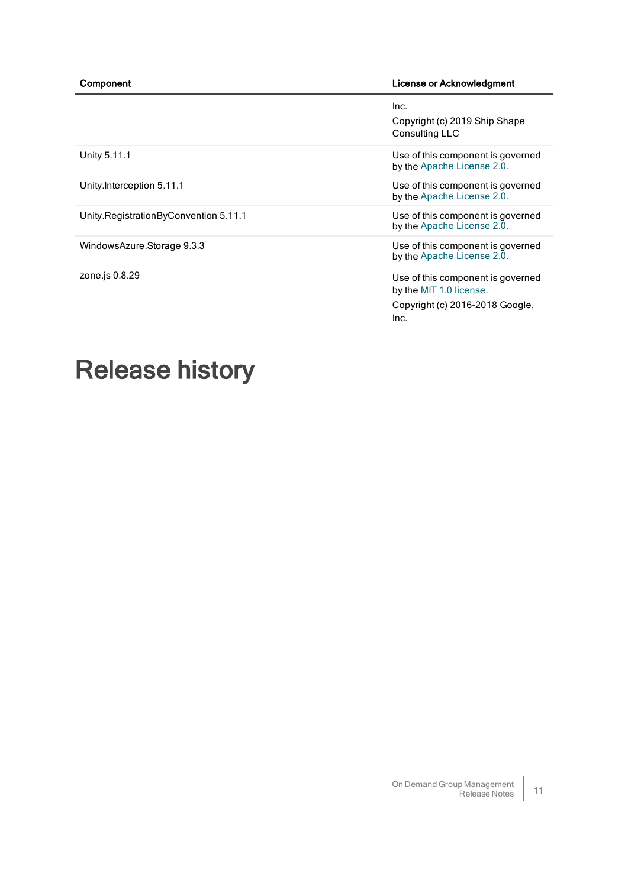|                                       | Inc.<br>Copyright (c) 2019 Ship Shape<br>Consulting LLC                                                 |
|---------------------------------------|---------------------------------------------------------------------------------------------------------|
| Unity 5.11.1                          | Use of this component is governed<br>by the Apache License 2.0.                                         |
| Unity.Interception 5.11.1             | Use of this component is governed<br>by the Apache License 2.0.                                         |
| Unity RegistrationByConvention 5.11.1 | Use of this component is governed<br>by the Apache License 2.0.                                         |
| WindowsAzure.Storage 9.3.3            | Use of this component is governed<br>by the Apache License 2.0.                                         |
| zone.js 0.8.29                        | Use of this component is governed<br>by the MIT 1.0 license.<br>Copyright (c) 2016-2018 Google,<br>Inc. |

# <span id="page-10-0"></span>Release history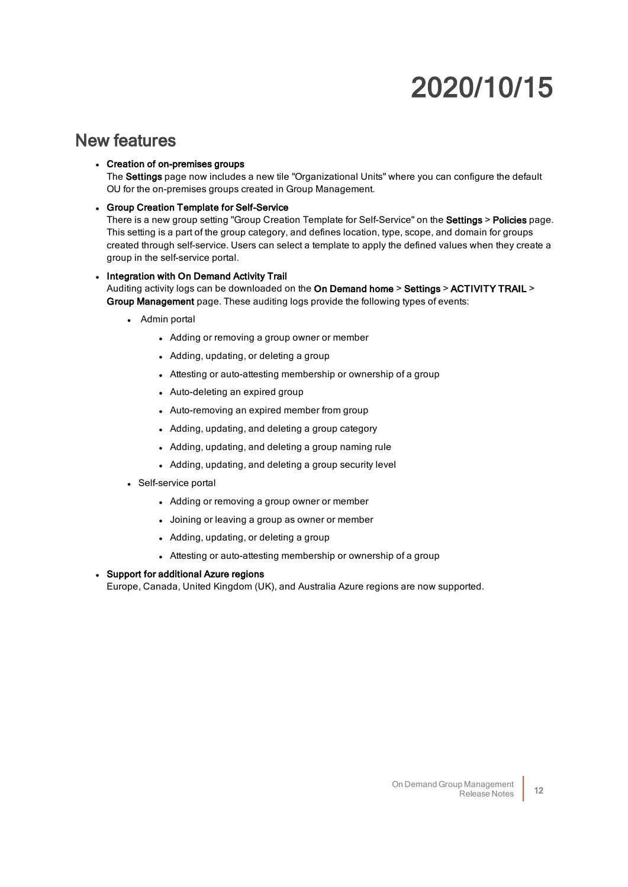# 2020/10/15

### New features

### • Creation of on-premises groups

The Settings page now includes a new tile "Organizational Units" where you can configure the default OU for the on-premises groups created in Group Management.

**.** Group Creation Template for Self-Service

There is a new group setting "Group Creation Template for Self-Service" on the Settings > Policies page. This setting is a part of the group category, and defines location, type, scope, and domain for groups created through self-service. Users can select a template to apply the defined values when they create a group in the self-service portal.

#### • Integration with On Demand Activity Trail Auditing activity logs can be downloaded on the On Demand home > Settings > ACTIVITY TRAIL > Group Management page. These auditing logs provide the following types of events:

- Admin portal
	- Adding or removing a group owner or member
	- Adding, updating, or deleting a group
	- Attesting or auto-attesting membership or ownership of a group
	- Auto-deleting an expired group
	- Auto-removing an expired member from group
	- Adding, updating, and deleting a group category
	- Adding, updating, and deleting a group naming rule
	- Adding, updating, and deleting a group security level
- Self-service portal
	- Adding or removing a group owner or member
	- Joining or leaving a group as owner or member
	- Adding, updating, or deleting a group
	- Attesting or auto-attesting membership or ownership of a group

### • Support for additional Azure regions

Europe, Canada, United Kingdom (UK), and Australia Azure regions are now supported.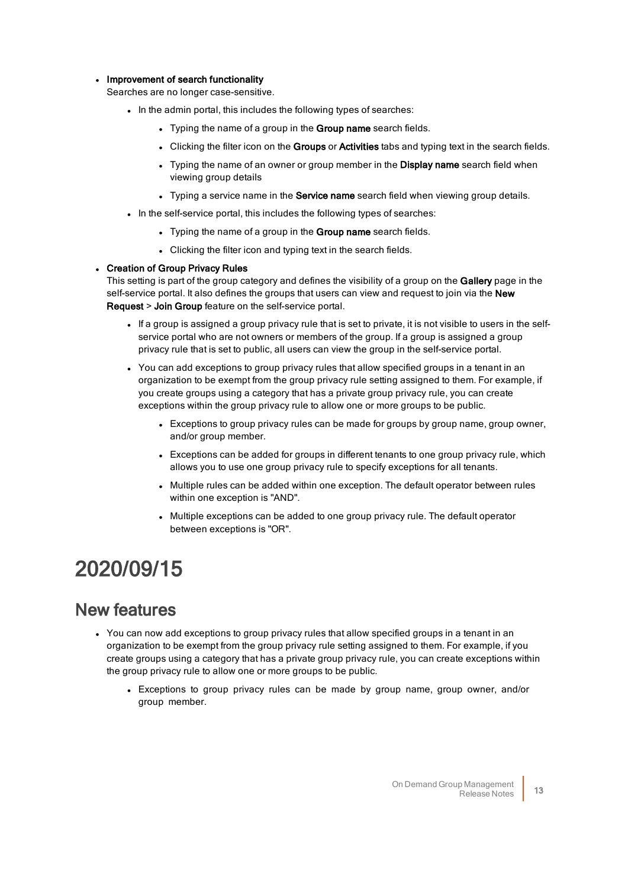#### • Improvement of search functionality

Searches are no longer case-sensitive.

- . In the admin portal, this includes the following types of searches:
	- Typing the name of a group in the Group name search fields.
	- Clicking the filter icon on the Groups or Activities tabs and typing text in the search fields.
	- Typing the name of an owner or group member in the Display name search field when viewing group details
	- Typing a service name in the Service name search field when viewing group details.
- . In the self-service portal, this includes the following types of searches:
	- Typing the name of a group in the Group name search fields.
	- Clicking the filter icon and typing text in the search fields.

#### • Creation of Group Privacy Rules

This setting is part of the group category and defines the visibility of a group on the Gallery page in the self-service portal. It also defines the groups that users can view and request to join via the New Request > Join Group feature on the self-service portal.

- <sup>l</sup> If a group is assigned a group privacy rule that is set to private, it is not visible to users in the selfservice portal who are not owners or members of the group. If a group is assigned a group privacy rule that is set to public, all users can view the group in the self-service portal.
- You can add exceptions to group privacy rules that allow specified groups in a tenant in an organization to be exempt from the group privacy rule setting assigned to them. For example, if you create groups using a category that has a private group privacy rule, you can create exceptions within the group privacy rule to allow one or more groups to be public.
	- Exceptions to group privacy rules can be made for groups by group name, group owner, and/or group member.
	- Exceptions can be added for groups in different tenants to one group privacy rule, which allows you to use one group privacy rule to specify exceptions for all tenants.
	- Multiple rules can be added within one exception. The default operator between rules within one exception is "AND".
	- Multiple exceptions can be added to one group privacy rule. The default operator between exceptions is "OR".

## 2020/09/15

- You can now add exceptions to group privacy rules that allow specified groups in a tenant in an organization to be exempt from the group privacy rule setting assigned to them. For example, if you create groups using a category that has a private group privacy rule, you can create exceptions within the group privacy rule to allow one or more groups to be public.
	- Exceptions to group privacy rules can be made by group name, group owner, and/or group member.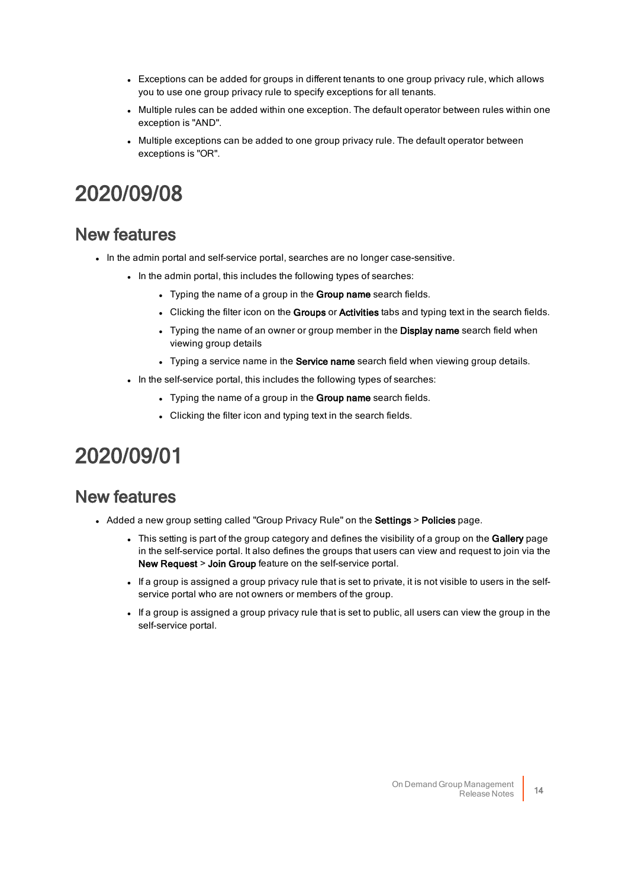- Exceptions can be added for groups in different tenants to one group privacy rule, which allows you to use one group privacy rule to specify exceptions for all tenants.
- Multiple rules can be added within one exception. The default operator between rules within one exception is "AND".
- Multiple exceptions can be added to one group privacy rule. The default operator between exceptions is "OR".

## 2020/09/08

### New features

- . In the admin portal and self-service portal, searches are no longer case-sensitive.
	- . In the admin portal, this includes the following types of searches:
		- Typing the name of a group in the Group name search fields.
		- Clicking the filter icon on the Groups or Activities tabs and typing text in the search fields.
		- Typing the name of an owner or group member in the Display name search field when viewing group details
		- Typing a service name in the Service name search field when viewing group details.
	- . In the self-service portal, this includes the following types of searches:
		- Typing the name of a group in the Group name search fields.
		- Clicking the filter icon and typing text in the search fields.

## 2020/09/01

- Added a new group setting called "Group Privacy Rule" on the Settings > Policies page.
	- This setting is part of the group category and defines the visibility of a group on the Gallery page in the self-service portal. It also defines the groups that users can view and request to join via the New Request > Join Group feature on the self-service portal.
	- If a group is assigned a group privacy rule that is set to private, it is not visible to users in the selfservice portal who are not owners or members of the group.
	- If a group is assigned a group privacy rule that is set to public, all users can view the group in the self-service portal.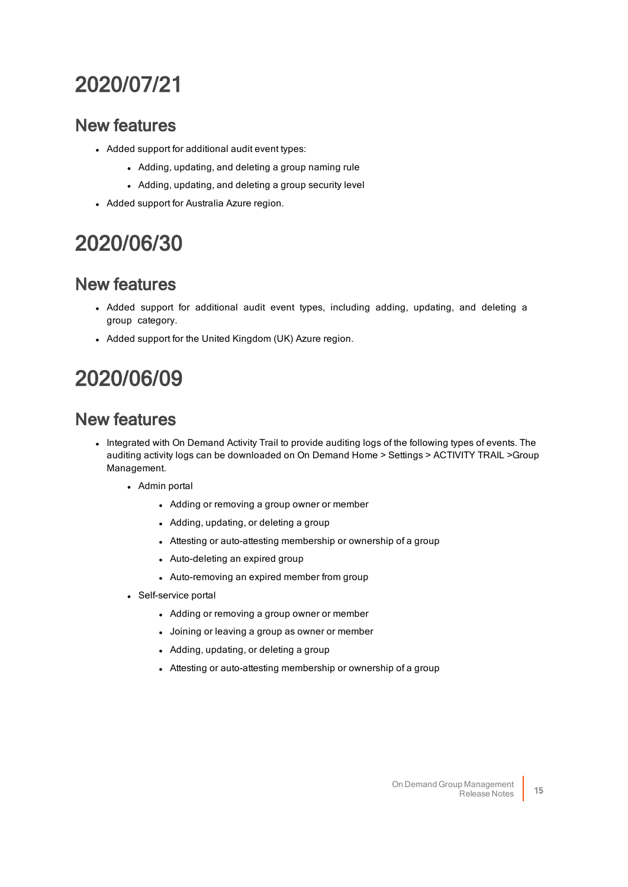## 2020/07/21

### New features

- Added support for additional audit event types:
	- Adding, updating, and deleting a group naming rule
	- Adding, updating, and deleting a group security level
- Added support for Australia Azure region.

## 2020/06/30

### New features

- Added support for additional audit event types, including adding, updating, and deleting a group category.
- Added support for the United Kingdom (UK) Azure region.

## 2020/06/09

- Integrated with On Demand Activity Trail to provide auditing logs of the following types of events. The auditing activity logs can be downloaded on On Demand Home > Settings > ACTIVITY TRAIL >Group Management.
	- Admin portal
		- Adding or removing a group owner or member
		- Adding, updating, or deleting a group
		- Attesting or auto-attesting membership or ownership of a group
		- Auto-deleting an expired group
		- Auto-removing an expired member from group
	- Self-service portal
		- Adding or removing a group owner or member
		- Joining or leaving a group as owner or member
		- Adding, updating, or deleting a group
		- Attesting or auto-attesting membership or ownership of a group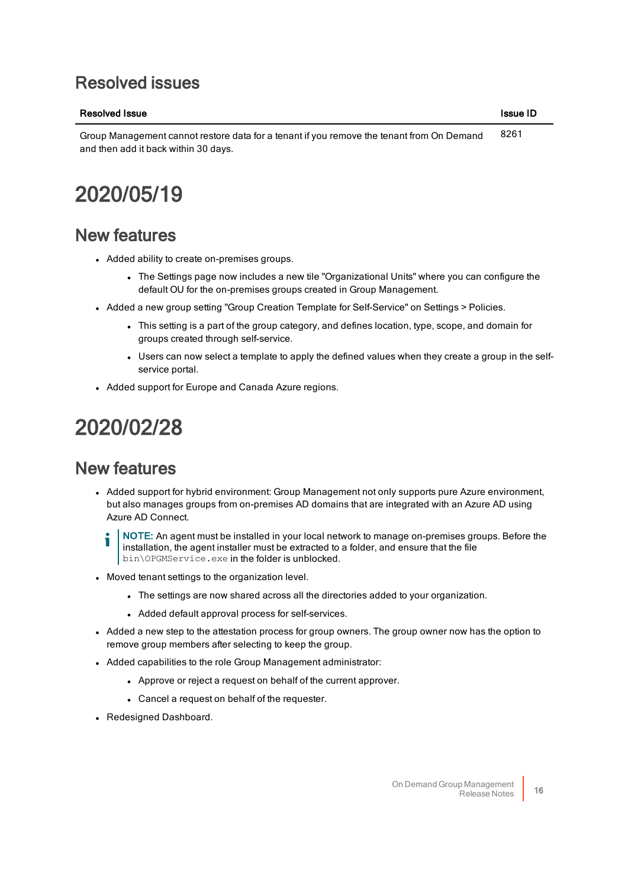### Resolved issues

### Resolved Issue ID and the United States of the United States In the United States In the United States ID and I

Group Management cannot restore data for a tenant if you remove the tenant from On Demand and then add it back within 30 days. 8261

## 2020/05/19

### New features

- Added ability to create on-premises groups.
	- The Settings page now includes a new tile "Organizational Units" where you can configure the default OU for the on-premises groups created in Group Management.
- Added a new group setting "Group Creation Template for Self-Service" on Settings > Policies.
	- <sup>l</sup> This setting is a part of the group category, and defines location, type, scope, and domain for groups created through self-service.
	- Users can now select a template to apply the defined values when they create a group in the selfservice portal.
- Added support for Europe and Canada Azure regions.

## 2020/02/28

- Added support for hybrid environment: Group Management not only supports pure Azure environment, but also manages groups from on-premises AD domains that are integrated with an Azure AD using Azure AD Connect.
	- NOTE: An agent must be installed in your local network to manage on-premises groups. Before the installation, the agent installer must be extracted to a folder, and ensure that the file bin\OPGMService.exe in the folder is unblocked.
- Moved tenant settings to the organization level.
	- The settings are now shared across all the directories added to your organization.
	- Added default approval process for self-services.
- Added a new step to the attestation process for group owners. The group owner now has the option to remove group members after selecting to keep the group.
- Added capabilities to the role Group Management administrator:
	- Approve or reject a request on behalf of the current approver.
	- Cancel a request on behalf of the requester.
- Redesigned Dashboard.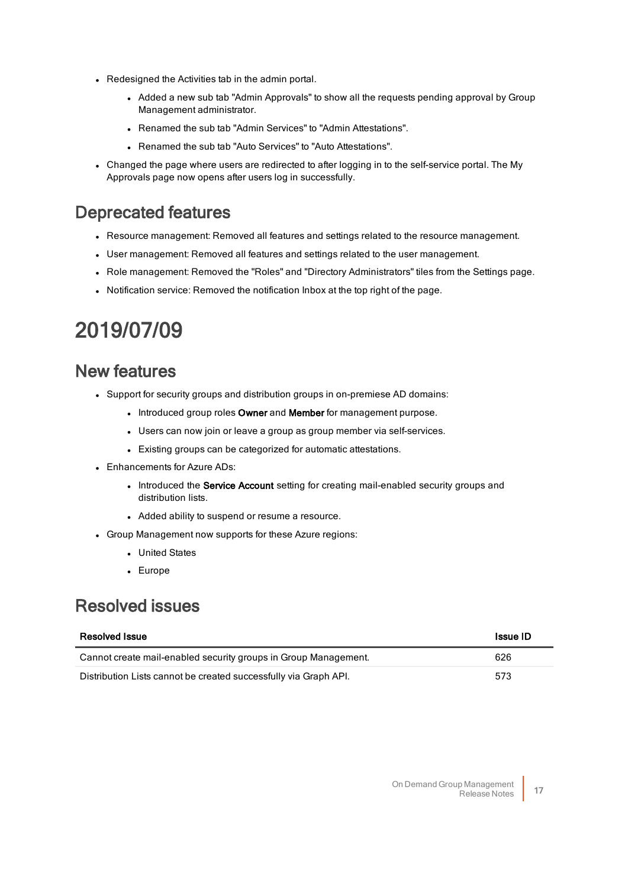- Redesigned the Activities tab in the admin portal.
	- Added a new sub tab "Admin Approvals" to show all the requests pending approval by Group Management administrator.
	- Renamed the sub tab "Admin Services" to "Admin Attestations".
	- Renamed the sub tab "Auto Services" to "Auto Attestations".
- Changed the page where users are redirected to after logging in to the self-service portal. The My Approvals page now opens after users log in successfully.

### Deprecated features

- Resource management: Removed all features and settings related to the resource management.
- <sup>l</sup> User management: Removed all features and settings related to the user management.
- Role management: Removed the "Roles" and "Directory Administrators" tiles from the Settings page.
- Notification service: Removed the notification Inbox at the top right of the page.

## 2019/07/09

### New features

- Support for security groups and distribution groups in on-premiese AD domains:
	- . Introduced group roles Owner and Member for management purpose.
	- Users can now join or leave a group as group member via self-services.
	- **Existing groups can be categorized for automatic attestations.**
- Enhancements for Azure ADs:
	- . Introduced the Service Account setting for creating mail-enabled security groups and distribution lists.
	- Added ability to suspend or resume a resource.
- Group Management now supports for these Azure regions:
	- United States
	- Europe

### Resolved issues

| <b>Resolved Issue</b>                                            | <b>Issue ID</b> |
|------------------------------------------------------------------|-----------------|
| Cannot create mail-enabled security groups in Group Management.  | 626             |
| Distribution Lists cannot be created successfully via Graph API. | 573             |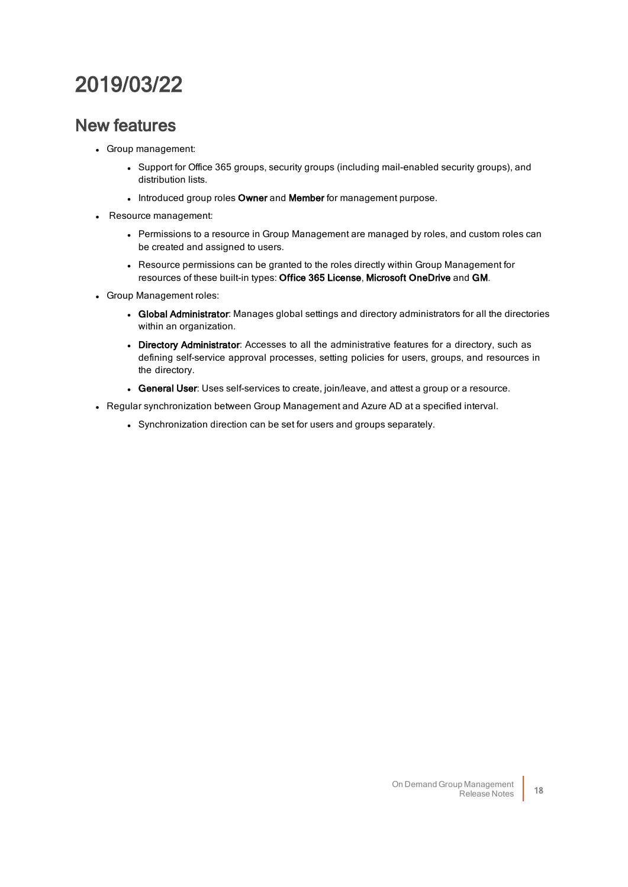## 2019/03/22

- Group management:
	- Support for Office 365 groups, security groups (including mail-enabled security groups), and distribution lists.
	- Introduced group roles Owner and Member for management purpose.
- Resource management:
	- Permissions to a resource in Group Management are managed by roles, and custom roles can be created and assigned to users.
	- Resource permissions can be granted to the roles directly within Group Management for resources of these built-in types: Office 365 License, Microsoft OneDrive and GM.
- Group Management roles:
	- Global Administrator: Manages global settings and directory administrators for all the directories within an organization.
	- Directory Administrator: Accesses to all the administrative features for a directory, such as defining self-service approval processes, setting policies for users, groups, and resources in the directory.
	- **General User**: Uses self-services to create, join/leave, and attest a group or a resource.
- Regular synchronization between Group Management and Azure AD at a specified interval.
	- Synchronization direction can be set for users and groups separately.